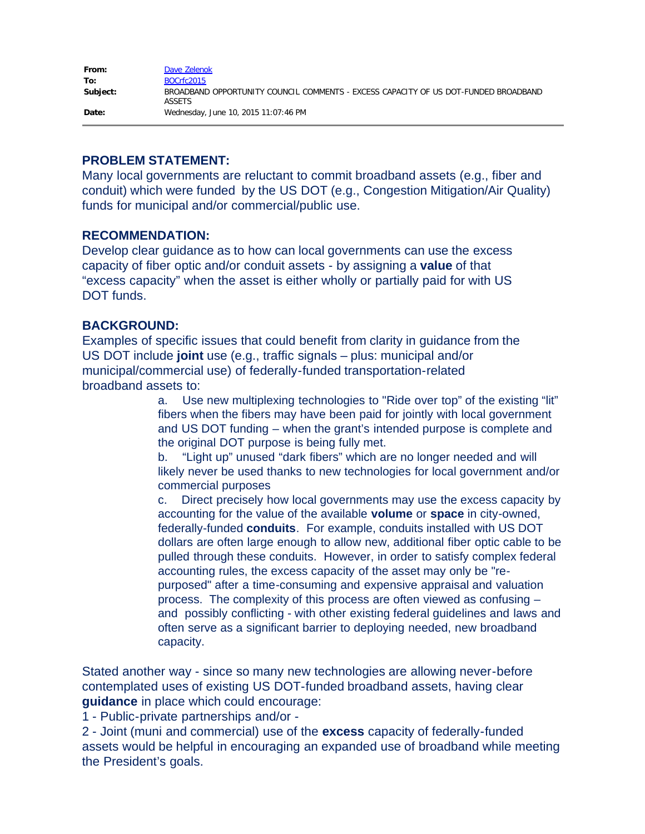| From:    | Dave Zelenok                                                                                         |
|----------|------------------------------------------------------------------------------------------------------|
| To:      | BOCrfc2015                                                                                           |
| Subject: | BROADBAND OPPORTUNITY COUNCIL COMMENTS - EXCESS CAPACITY OF US DOT-FUNDED BROADBAND<br><b>ASSETS</b> |
| Date:    | Wednesday, June 10, 2015 11:07:46 PM                                                                 |

## **PROBLEM STATEMENT:**

Many local governments are reluctant to commit broadband assets (e.g., fiber and conduit) which were funded by the US DOT (e.g., Congestion Mitigation/Air Quality) funds for municipal and/or commercial/public use.

## **RECOMMENDATION:**

Develop clear guidance as to how can local governments can use the excess capacity of fiber optic and/or conduit assets - by assigning a **value** of that "excess capacity" when the asset is either wholly or partially paid for with US DOT funds.

## **BACKGROUND:**

Examples of specific issues that could benefit from clarity in guidance from the US DOT include **joint** use (e.g., traffic signals – plus: municipal and/or municipal/commercial use) of federally-funded transportation-related broadband assets to:

> a. Use new multiplexing technologies to "Ride over top" of the existing "lit" fibers when the fibers may have been paid for jointly with local government and US DOT funding – when the grant's intended purpose is complete and the original DOT purpose is being fully met.

> b. "Light up" unused "dark fibers" which are no longer needed and will likely never be used thanks to new technologies for local government and/or commercial purposes

> c. Direct precisely how local governments may use the excess capacity by accounting for the value of the available **volume** or **space** in city-owned, federally-funded **conduits**. For example, conduits installed with US DOT dollars are often large enough to allow new, additional fiber optic cable to be pulled through these conduits. However, in order to satisfy complex federal accounting rules, the excess capacity of the asset may only be "repurposed" after a time-consuming and expensive appraisal and valuation process. The complexity of this process are often viewed as confusing – and possibly conflicting - with other existing federal guidelines and laws and often serve as a significant barrier to deploying needed, new broadband capacity.

Stated another way - since so many new technologies are allowing never-before contemplated uses of existing US DOT-funded broadband assets, having clear **guidance** in place which could encourage:

1 - Public-private partnerships and/or -

2 - Joint (muni and commercial) use of the **excess** capacity of federally-funded assets would be helpful in encouraging an expanded use of broadband while meeting the President's goals.